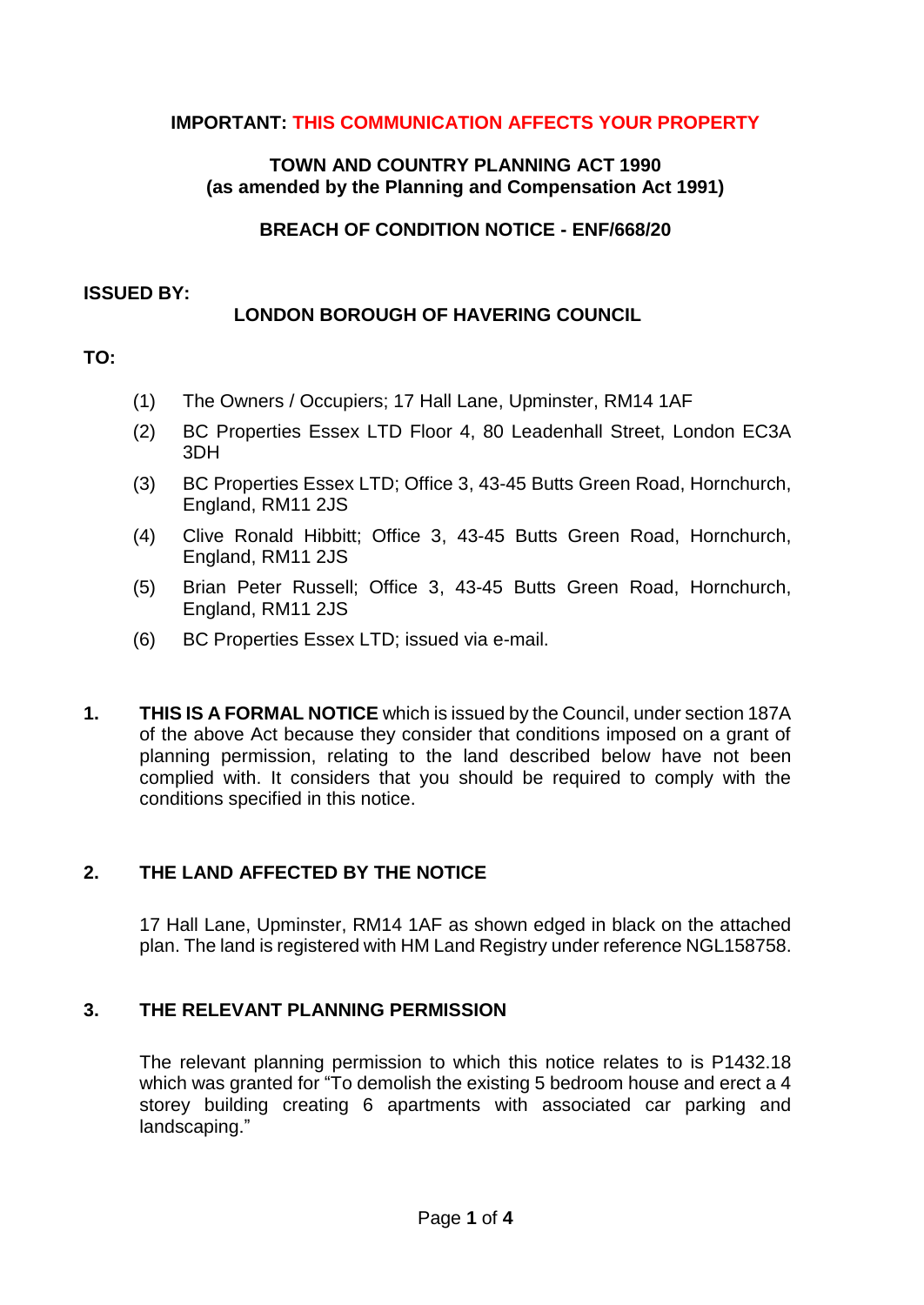# **IMPORTANT: THIS COMMUNICATION AFFECTS YOUR PROPERTY**

### **TOWN AND COUNTRY PLANNING ACT 1990 (as amended by the Planning and Compensation Act 1991)**

**BREACH OF CONDITION NOTICE - ENF/668/20**

#### **ISSUED BY:**

# **LONDON BOROUGH OF HAVERING COUNCIL**

# **TO:**

- (1) The Owners / Occupiers; 17 Hall Lane, Upminster, RM14 1AF
- (2) BC Properties Essex LTD Floor 4, 80 Leadenhall Street, London EC3A 3DH
- (3) BC Properties Essex LTD; Office 3, 43-45 Butts Green Road, Hornchurch, England, RM11 2JS
- (4) Clive Ronald Hibbitt; Office 3, 43-45 Butts Green Road, Hornchurch, England, RM11 2JS
- (5) Brian Peter Russell; Office 3, 43-45 Butts Green Road, Hornchurch, England, RM11 2JS
- (6) BC Properties Essex LTD; issued via e-mail.
- **1. THIS IS A FORMAL NOTICE** which is issued by the Council, under section 187A of the above Act because they consider that conditions imposed on a grant of planning permission, relating to the land described below have not been complied with. It considers that you should be required to comply with the conditions specified in this notice.

# **2. THE LAND AFFECTED BY THE NOTICE**

17 Hall Lane, Upminster, RM14 1AF as shown edged in black on the attached plan. The land is registered with HM Land Registry under reference NGL158758.

# **3. THE RELEVANT PLANNING PERMISSION**

The relevant planning permission to which this notice relates to is P1432.18 which was granted for "To demolish the existing 5 bedroom house and erect a 4 storey building creating 6 apartments with associated car parking and landscaping."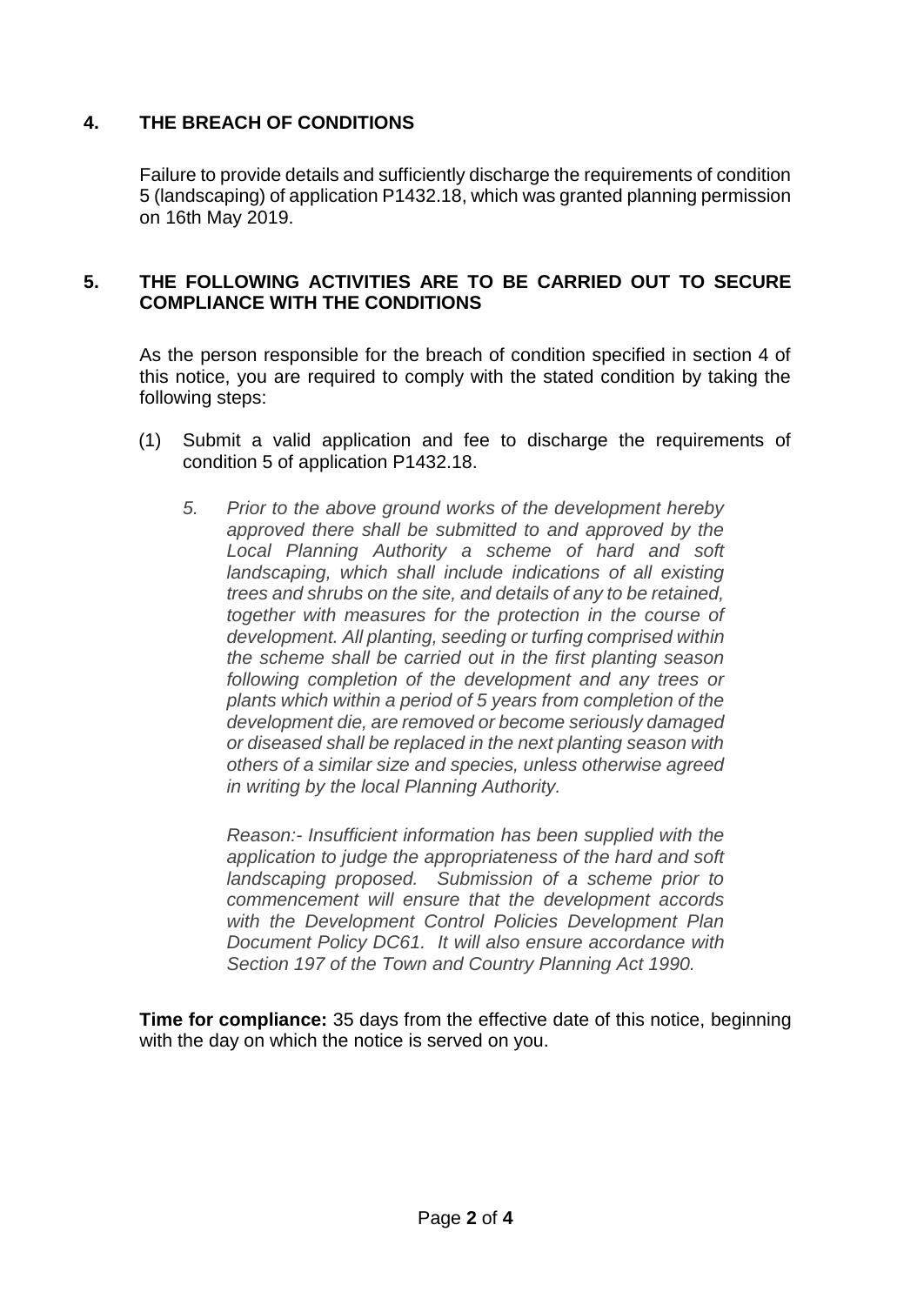# **4. THE BREACH OF CONDITIONS**

Failure to provide details and sufficiently discharge the requirements of condition 5 (landscaping) of application P1432.18, which was granted planning permission on 16th May 2019.

#### **5. THE FOLLOWING ACTIVITIES ARE TO BE CARRIED OUT TO SECURE COMPLIANCE WITH THE CONDITIONS**

As the person responsible for the breach of condition specified in section 4 of this notice, you are required to comply with the stated condition by taking the following steps:

- (1) Submit a valid application and fee to discharge the requirements of condition 5 of application P1432.18.
	- *5. Prior to the above ground works of the development hereby approved there shall be submitted to and approved by the Local Planning Authority a scheme of hard and soft landscaping, which shall include indications of all existing trees and shrubs on the site, and details of any to be retained, together with measures for the protection in the course of development. All planting, seeding or turfing comprised within the scheme shall be carried out in the first planting season following completion of the development and any trees or plants which within a period of 5 years from completion of the development die, are removed or become seriously damaged or diseased shall be replaced in the next planting season with others of a similar size and species, unless otherwise agreed in writing by the local Planning Authority.*

*Reason:- Insufficient information has been supplied with the application to judge the appropriateness of the hard and soft landscaping proposed. Submission of a scheme prior to commencement will ensure that the development accords with the Development Control Policies Development Plan Document Policy DC61. It will also ensure accordance with Section 197 of the Town and Country Planning Act 1990.*

**Time for compliance:** 35 days from the effective date of this notice, beginning with the day on which the notice is served on you.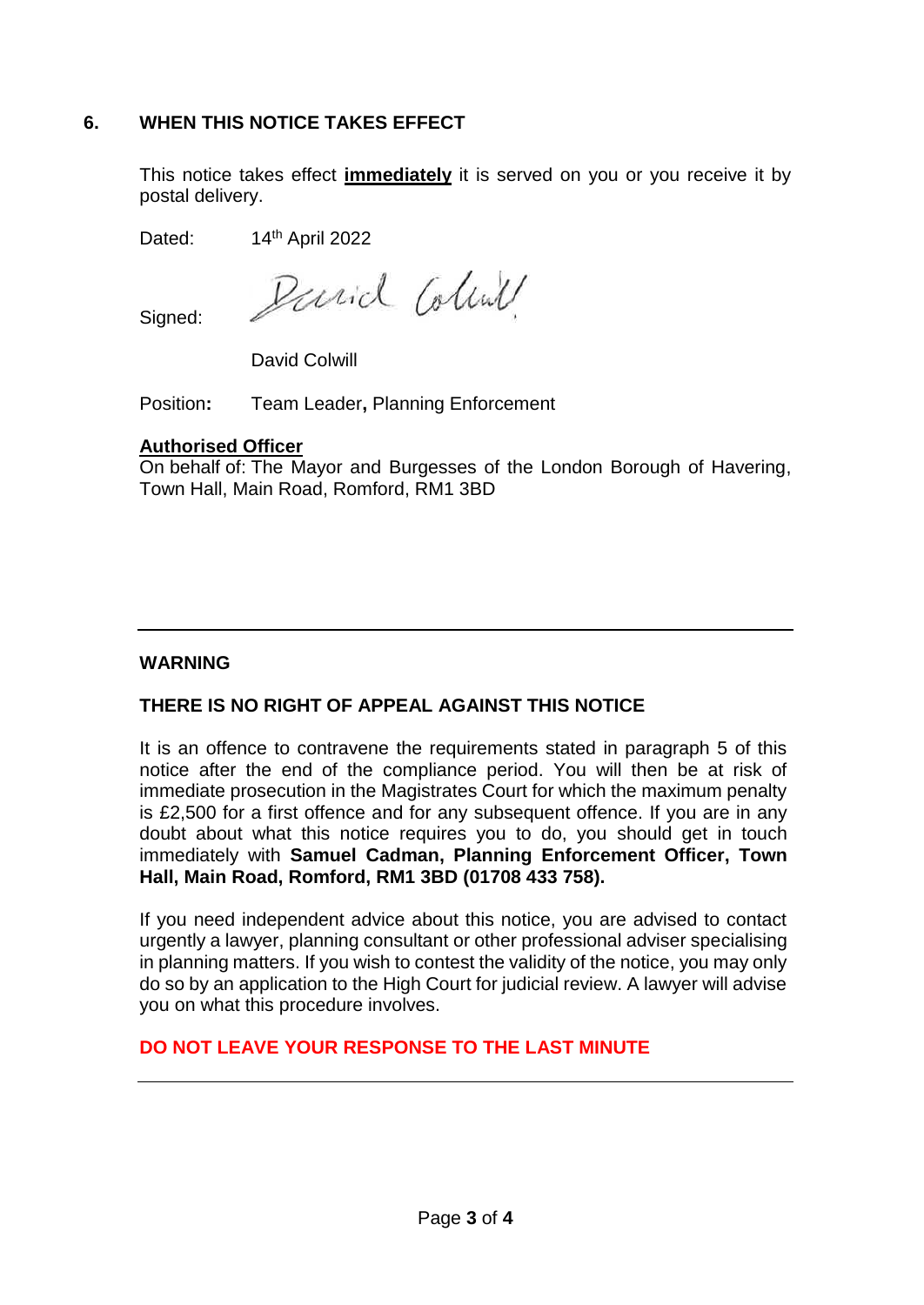# **6. WHEN THIS NOTICE TAKES EFFECT**

This notice takes effect **immediately** it is served on you or you receive it by postal delivery.

Dated: 14<sup>th</sup> April 2022

Parid Colind

Signed:

David Colwill

Position**:** Team Leader**,** Planning Enforcement

#### **Authorised Officer**

On behalf of: The Mayor and Burgesses of the London Borough of Havering, Town Hall, Main Road, Romford, RM1 3BD

### **WARNING**

# **THERE IS NO RIGHT OF APPEAL AGAINST THIS NOTICE**

It is an offence to contravene the requirements stated in paragraph 5 of this notice after the end of the compliance period. You will then be at risk of immediate prosecution in the Magistrates Court for which the maximum penalty is £2,500 for a first offence and for any subsequent offence. If you are in any doubt about what this notice requires you to do, you should get in touch immediately with **Samuel Cadman, Planning Enforcement Officer, Town Hall, Main Road, Romford, RM1 3BD (01708 433 758).**

If you need independent advice about this notice, you are advised to contact urgently a lawyer, planning consultant or other professional adviser specialising in planning matters. If you wish to contest the validity of the notice, you may only do so by an application to the High Court for judicial review. A lawyer will advise you on what this procedure involves.

# **DO NOT LEAVE YOUR RESPONSE TO THE LAST MINUTE**